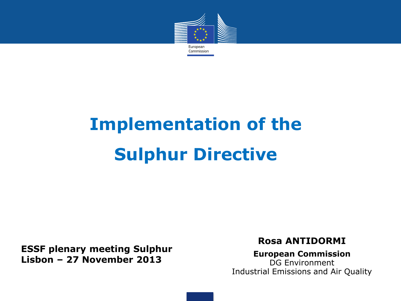

# **Implementation of the Sulphur Directive**

**ESSF plenary meeting Sulphur Lisbon – 27 November 2013** 

**Rosa ANTIDORMI**

**European Commission** DG Environment Industrial Emissions and Air Quality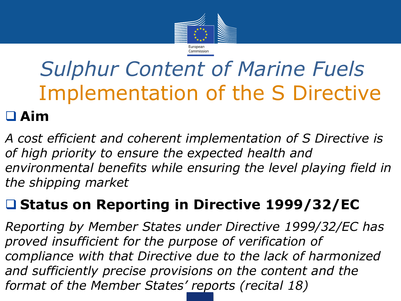

# *Sulphur Content of Marine Fuels* Implementation of the S Directive

### **Aim**

*A cost efficient and coherent implementation of S Directive is of high priority to ensure the expected health and environmental benefits while ensuring the level playing field in the shipping market*

### **Status on Reporting in Directive 1999/32/EC**

*Reporting by Member States under Directive 1999/32/EC has proved insufficient for the purpose of verification of compliance with that Directive due to the lack of harmonized and sufficiently precise provisions on the content and the format of the Member States' reports (recital 18)*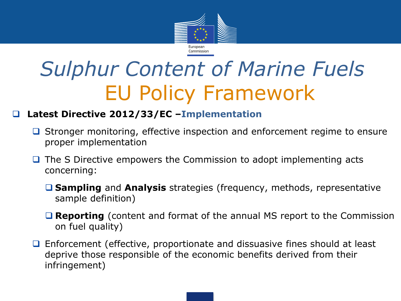

# *Sulphur Content of Marine Fuels* EU Policy Framework

#### **Latest Directive 2012/33/EC –Implementation**

- $\Box$  Stronger monitoring, effective inspection and enforcement regime to ensure proper implementation
- $\Box$  The S Directive empowers the Commission to adopt implementing acts concerning:
	- **Sampling** and **Analysis** strategies (frequency, methods, representative sample definition)
	- **Reporting** (content and format of the annual MS report to the Commission on fuel quality)
- □ Enforcement (effective, proportionate and dissuasive fines should at least deprive those responsible of the economic benefits derived from their infringement)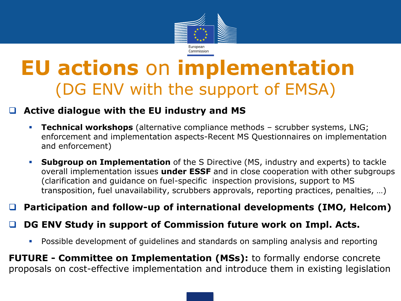

## **EU actions** on **implementation** (DG ENV with the support of EMSA)

#### **Active dialogue with the EU industry and MS**

- **Technical workshops** (alternative compliance methods scrubber systems, LNG; enforcement and implementation aspects-Recent MS Questionnaires on implementation and enforcement)
- **Subgroup on Implementation** of the S Directive (MS, industry and experts) to tackle overall implementation issues **under ESSF** and in close cooperation with other subgroups (clarification and guidance on fuel-specific inspection provisions, support to MS transposition, fuel unavailability, scrubbers approvals, reporting practices, penalties, …)

#### **Participation and follow-up of international developments (IMO, Helcom)**

#### **DG ENV Study in support of Commission future work on Impl. Acts.**

Possible development of guidelines and standards on sampling analysis and reporting

**FUTURE - Committee on Implementation (MSs):** to formally endorse concrete proposals on cost-effective implementation and introduce them in existing legislation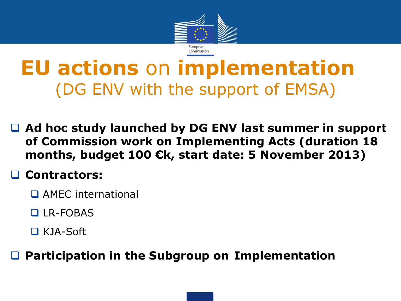

## **EU actions** on **implementation** (DG ENV with the support of EMSA)

 **Ad hoc study launched by DG ENV last summer in support of Commission work on Implementing Acts (duration 18 months, budget 100 €k, start date: 5 November 2013)**

### **Contractors:**

- **D** AMFC international
- LR-FOBAS
- KJA-Soft

**Participation in the Subgroup on Implementation**